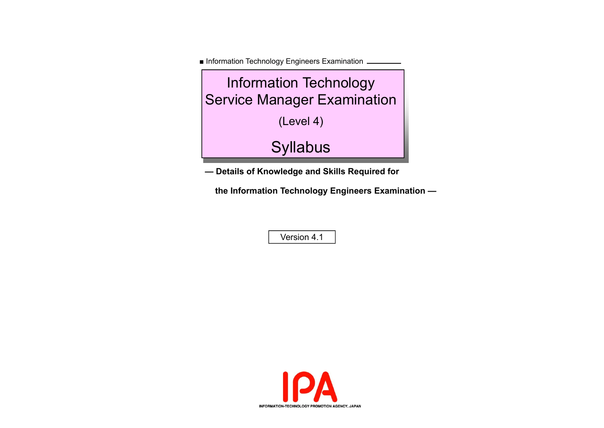■ Information Technology Engineers Examination .



**— Details of Knowledge and Skills Required for** 

 **the Information Technology Engineers Examination —** 

Version 4.1

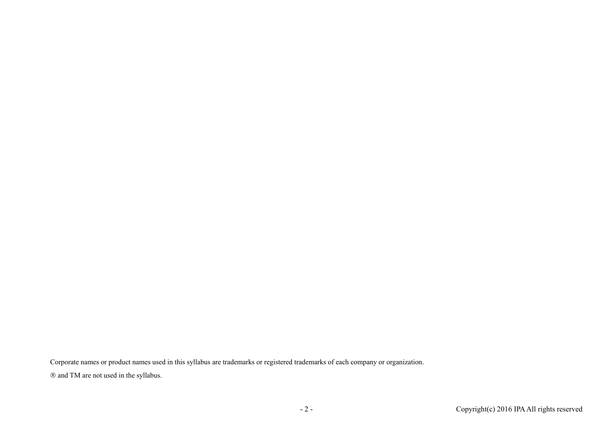Corporate names or product names used in this syllabus are trademarks or registered trademarks of each company or organization. and TM are not used in the syllabus.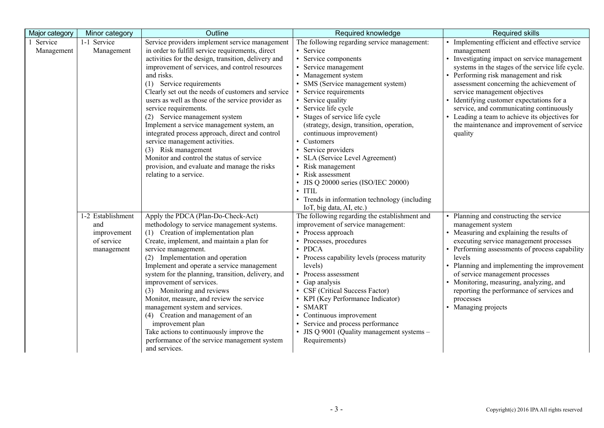| Major category        | Minor category                                                      | Outline                                                                                                                                                                                                                                                                                                                                                                                                                                                                                                                                                                                                                                                                                                    | Required knowledge                                                                                                                                                                                                                                                                                                                                                                                                                                                                                                                                                                                  | <b>Required skills</b>                                                                                                                                                                                                                                                                                                                                                                                                                                                                    |
|-----------------------|---------------------------------------------------------------------|------------------------------------------------------------------------------------------------------------------------------------------------------------------------------------------------------------------------------------------------------------------------------------------------------------------------------------------------------------------------------------------------------------------------------------------------------------------------------------------------------------------------------------------------------------------------------------------------------------------------------------------------------------------------------------------------------------|-----------------------------------------------------------------------------------------------------------------------------------------------------------------------------------------------------------------------------------------------------------------------------------------------------------------------------------------------------------------------------------------------------------------------------------------------------------------------------------------------------------------------------------------------------------------------------------------------------|-------------------------------------------------------------------------------------------------------------------------------------------------------------------------------------------------------------------------------------------------------------------------------------------------------------------------------------------------------------------------------------------------------------------------------------------------------------------------------------------|
| Service<br>Management | 1-1 Service<br>Management                                           | Service providers implement service management<br>in order to fulfill service requirements, direct<br>activities for the design, transition, delivery and<br>improvement of services, and control resources<br>and risks.<br>(1) Service requirements<br>Clearly set out the needs of customers and service<br>users as well as those of the service provider as<br>service requirements.<br>(2) Service management system<br>Implement a service management system, an<br>integrated process approach, direct and control<br>service management activities.<br>(3) Risk management<br>Monitor and control the status of service<br>provision, and evaluate and manage the risks<br>relating to a service. | The following regarding service management:<br>• Service<br>• Service components<br>• Service management<br>• Management system<br>• SMS (Service management system)<br>Service requirements<br>• Service quality<br>Service life cycle<br>Stages of service life cycle<br>(strategy, design, transition, operation,<br>continuous improvement)<br>• Customers<br>Service providers<br>SLA (Service Level Agreement)<br>• Risk management<br>• Risk assessment<br>• JIS Q 20000 series (ISO/IEC 20000)<br>$\cdot$ ITIL<br>• Trends in information technology (including<br>IoT, big data, AI, etc.) | • Implementing efficient and effective service<br>management<br>• Investigating impact on service management<br>systems in the stages of the service life cycle.<br>• Performing risk management and risk<br>assessment concerning the achievement of<br>service management objectives<br>• Identifying customer expectations for a<br>service, and communicating continuously<br>• Leading a team to achieve its objectives for<br>the maintenance and improvement of service<br>quality |
|                       | 1-2 Establishment<br>and<br>improvement<br>of service<br>management | Apply the PDCA (Plan-Do-Check-Act)<br>methodology to service management systems.<br>(1) Creation of implementation plan<br>Create, implement, and maintain a plan for<br>service management.<br>(2) Implementation and operation<br>Implement and operate a service management<br>system for the planning, transition, delivery, and<br>improvement of services.<br>(3) Monitoring and reviews<br>Monitor, measure, and review the service<br>management system and services.<br>(4) Creation and management of an<br>improvement plan<br>Take actions to continuously improve the<br>performance of the service management system<br>and services.                                                        | The following regarding the establishment and<br>improvement of service management:<br>• Process approach<br>Processes, procedures<br><b>PDCA</b><br>$\bullet$<br>• Process capability levels (process maturity<br>levels)<br>• Process assessment<br>• Gap analysis<br>• CSF (Critical Success Factor)<br>• KPI (Key Performance Indicator)<br><b>SMART</b><br>$\bullet$<br>• Continuous improvement<br>• Service and process performance<br>• JIS Q 9001 (Quality management systems -<br>Requirements)                                                                                           | • Planning and constructing the service<br>management system<br>• Measuring and explaining the results of<br>executing service management processes<br>• Performing assessments of process capability<br>levels<br>• Planning and implementing the improvement<br>of service management processes<br>• Monitoring, measuring, analyzing, and<br>reporting the performance of services and<br>processes<br>• Managing projects                                                             |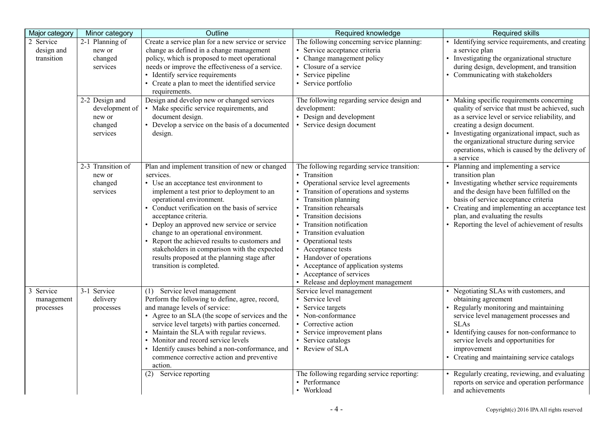| Major category                        | Minor category                                                    | Outline                                                                                                                                                                                                                                                                                                                                                                                                                                                                                                                           | Required knowledge                                                                                                                                                                                                                                                                                                                                                                                                                                                       | Required skills                                                                                                                                                                                                                                                                                                                                                                                                                          |
|---------------------------------------|-------------------------------------------------------------------|-----------------------------------------------------------------------------------------------------------------------------------------------------------------------------------------------------------------------------------------------------------------------------------------------------------------------------------------------------------------------------------------------------------------------------------------------------------------------------------------------------------------------------------|--------------------------------------------------------------------------------------------------------------------------------------------------------------------------------------------------------------------------------------------------------------------------------------------------------------------------------------------------------------------------------------------------------------------------------------------------------------------------|------------------------------------------------------------------------------------------------------------------------------------------------------------------------------------------------------------------------------------------------------------------------------------------------------------------------------------------------------------------------------------------------------------------------------------------|
| 2 Service<br>design and<br>transition | 2-1 Planning of<br>new or<br>changed<br>services                  | Create a service plan for a new service or service<br>change as defined in a change management<br>policy, which is proposed to meet operational<br>needs or improve the effectiveness of a service.<br>• Identify service requirements<br>• Create a plan to meet the identified service<br>requirements.                                                                                                                                                                                                                         | The following concerning service planning:<br>· Service acceptance criteria<br>• Change management policy<br>• Closure of a service<br>• Service pipeline<br>• Service portfolio                                                                                                                                                                                                                                                                                         | • Identifying service requirements, and creating<br>a service plan<br>• Investigating the organizational structure<br>during design, development, and transition<br>• Communicating with stakeholders                                                                                                                                                                                                                                    |
|                                       | 2-2 Design and<br>development of<br>new or<br>changed<br>services | Design and develop new or changed services<br>• Make specific service requirements, and<br>document design.<br>Develop a service on the basis of a documented<br>design.                                                                                                                                                                                                                                                                                                                                                          | The following regarding service design and<br>development:<br>• Design and development<br>• Service design document                                                                                                                                                                                                                                                                                                                                                      | • Making specific requirements concerning<br>quality of service that must be achieved, such<br>as a service level or service reliability, and<br>creating a design document.<br>Investigating organizational impact, such as<br>the organizational structure during service<br>operations, which is caused by the delivery of<br>a service                                                                                               |
|                                       | 2-3 Transition of<br>new or<br>changed<br>services                | Plan and implement transition of new or changed<br>services.<br>• Use an acceptance test environment to<br>implement a test prior to deployment to an<br>operational environment.<br>• Conduct verification on the basis of service<br>acceptance criteria.<br>• Deploy an approved new service or service<br>change to an operational environment.<br>• Report the achieved results to customers and<br>stakeholders in comparison with the expected<br>results proposed at the planning stage after<br>transition is completed. | The following regarding service transition:<br>• Transition<br>• Operational service level agreements<br>• Transition of operations and systems<br>• Transition planning<br>• Transition rehearsals<br>• Transition decisions<br>• Transition notification<br>• Transition evaluation<br>• Operational tests<br>• Acceptance tests<br>• Handover of operations<br>• Acceptance of application systems<br>• Acceptance of services<br>• Release and deployment management | • Planning and implementing a service<br>transition plan<br>• Investigating whether service requirements<br>and the design have been fulfilled on the<br>basis of service acceptance criteria<br>• Creating and implementing an acceptance test<br>plan, and evaluating the results<br>• Reporting the level of achievement of results                                                                                                   |
| Service<br>management<br>processes    | 3-1 Service<br>delivery<br>processes                              | Service level management<br>(1)<br>Perform the following to define, agree, record,<br>and manage levels of service:<br>• Agree to an SLA (the scope of services and the<br>service level targets) with parties concerned.<br>• Maintain the SLA with regular reviews.<br>• Monitor and record service levels<br>• Identify causes behind a non-conformance, and<br>commence corrective action and preventive<br>action.<br>(2) Service reporting                                                                                  | Service level management<br>• Service level<br>• Service targets<br>• Non-conformance<br>• Corrective action<br>• Service improvement plans<br>• Service catalogs<br>• Review of SLA<br>The following regarding service reporting:<br>• Performance<br>• Workload                                                                                                                                                                                                        | • Negotiating SLAs with customers, and<br>obtaining agreement<br>Regularly monitoring and maintaining<br>service level management processes and<br><b>SLAs</b><br>Identifying causes for non-conformance to<br>service levels and opportunities for<br>improvement<br>• Creating and maintaining service catalogs<br>• Regularly creating, reviewing, and evaluating<br>reports on service and operation performance<br>and achievements |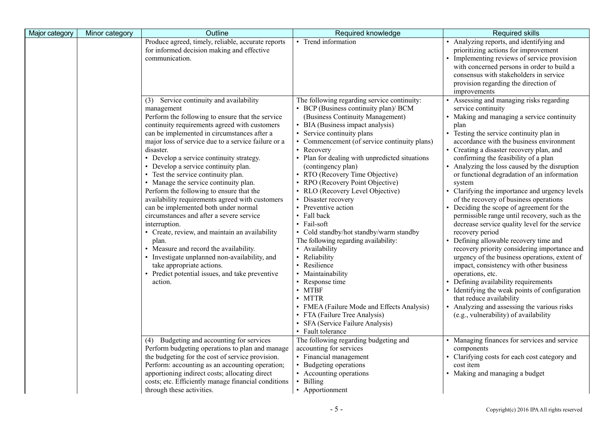| Major category | Minor category | Outline                                                                                                                                                                                                                                                                                                                                                                                                                                                                                                                                                                                                                                                                                                                                                                                                                                                                                                | Required knowledge                                                                                                                                                                                                                                                                                                                                                                                                                                                                                                                                                                                                                                                                                                                                                                                                                                                                    | <b>Required skills</b>                                                                                                                                                                                                                                                                                                                                                                                                                                                                                                                                                                                                                                                                                                                                                                                                                                                                                                                                                                                                                                                                        |
|----------------|----------------|--------------------------------------------------------------------------------------------------------------------------------------------------------------------------------------------------------------------------------------------------------------------------------------------------------------------------------------------------------------------------------------------------------------------------------------------------------------------------------------------------------------------------------------------------------------------------------------------------------------------------------------------------------------------------------------------------------------------------------------------------------------------------------------------------------------------------------------------------------------------------------------------------------|---------------------------------------------------------------------------------------------------------------------------------------------------------------------------------------------------------------------------------------------------------------------------------------------------------------------------------------------------------------------------------------------------------------------------------------------------------------------------------------------------------------------------------------------------------------------------------------------------------------------------------------------------------------------------------------------------------------------------------------------------------------------------------------------------------------------------------------------------------------------------------------|-----------------------------------------------------------------------------------------------------------------------------------------------------------------------------------------------------------------------------------------------------------------------------------------------------------------------------------------------------------------------------------------------------------------------------------------------------------------------------------------------------------------------------------------------------------------------------------------------------------------------------------------------------------------------------------------------------------------------------------------------------------------------------------------------------------------------------------------------------------------------------------------------------------------------------------------------------------------------------------------------------------------------------------------------------------------------------------------------|
|                |                | Produce agreed, timely, reliable, accurate reports<br>for informed decision making and effective<br>communication.                                                                                                                                                                                                                                                                                                                                                                                                                                                                                                                                                                                                                                                                                                                                                                                     | • Trend information                                                                                                                                                                                                                                                                                                                                                                                                                                                                                                                                                                                                                                                                                                                                                                                                                                                                   | Analyzing reports, and identifying and<br>prioritizing actions for improvement<br>• Implementing reviews of service provision<br>with concerned persons in order to build a<br>consensus with stakeholders in service<br>provision regarding the direction of<br>improvements                                                                                                                                                                                                                                                                                                                                                                                                                                                                                                                                                                                                                                                                                                                                                                                                                 |
|                |                | (3) Service continuity and availability<br>management<br>Perform the following to ensure that the service<br>continuity requirements agreed with customers<br>can be implemented in circumstances after a<br>major loss of service due to a service failure or a<br>disaster.<br>• Develop a service continuity strategy.<br>• Develop a service continuity plan.<br>• Test the service continuity plan.<br>• Manage the service continuity plan.<br>Perform the following to ensure that the<br>availability requirements agreed with customers<br>can be implemented both under normal<br>circumstances and after a severe service<br>interruption.<br>• Create, review, and maintain an availability<br>plan.<br>• Measure and record the availability.<br>• Investigate unplanned non-availability, and<br>take appropriate actions.<br>• Predict potential issues, and take preventive<br>action. | The following regarding service continuity:<br>• BCP (Business continuity plan)/ BCM<br>(Business Continuity Management)<br>• BIA (Business impact analysis)<br>• Service continuity plans<br>Commencement (of service continuity plans)<br>• Recovery<br>• Plan for dealing with unpredicted situations<br>(contingency plan)<br>• RTO (Recovery Time Objective)<br>• RPO (Recovery Point Objective)<br>• RLO (Recovery Level Objective)<br>Disaster recovery<br>• Preventive action<br>• Fall back<br>• Fail-soft<br>• Cold standby/hot standby/warm standby<br>The following regarding availability:<br>Availability<br>Reliability<br>$\bullet$<br>• Resilience<br>Maintainability<br>• Response time<br>$\bullet$ MTBF<br>$\bullet$ MTTR<br>• FMEA (Failure Mode and Effects Analysis)<br>• FTA (Failure Tree Analysis)<br>• SFA (Service Failure Analysis)<br>• Fault tolerance | • Assessing and managing risks regarding<br>service continuity<br>• Making and managing a service continuity<br>plan<br>• Testing the service continuity plan in<br>accordance with the business environment<br>• Creating a disaster recovery plan, and<br>confirming the feasibility of a plan<br>• Analyzing the loss caused by the disruption<br>or functional degradation of an information<br>system<br>• Clarifying the importance and urgency levels<br>of the recovery of business operations<br>• Deciding the scope of agreement for the<br>permissible range until recovery, such as the<br>decrease service quality level for the service<br>recovery period<br>Defining allowable recovery time and<br>recovery priority considering importance and<br>urgency of the business operations, extent of<br>impact, consistency with other business<br>operations, etc.<br>• Defining availability requirements<br>• Identifying the weak points of configuration<br>that reduce availability<br>Analyzing and assessing the various risks<br>(e.g., vulnerability) of availability |
|                |                | (4) Budgeting and accounting for services<br>Perform budgeting operations to plan and manage<br>the budgeting for the cost of service provision.<br>Perform: accounting as an accounting operation;<br>apportioning indirect costs; allocating direct<br>costs; etc. Efficiently manage financial conditions<br>through these activities.                                                                                                                                                                                                                                                                                                                                                                                                                                                                                                                                                              | The following regarding budgeting and<br>accounting for services<br>• Financial management<br>• Budgeting operations<br>• Accounting operations<br>Billing<br>• Apportionment                                                                                                                                                                                                                                                                                                                                                                                                                                                                                                                                                                                                                                                                                                         | • Managing finances for services and service<br>components<br>• Clarifying costs for each cost category and<br>cost item<br>• Making and managing a budget                                                                                                                                                                                                                                                                                                                                                                                                                                                                                                                                                                                                                                                                                                                                                                                                                                                                                                                                    |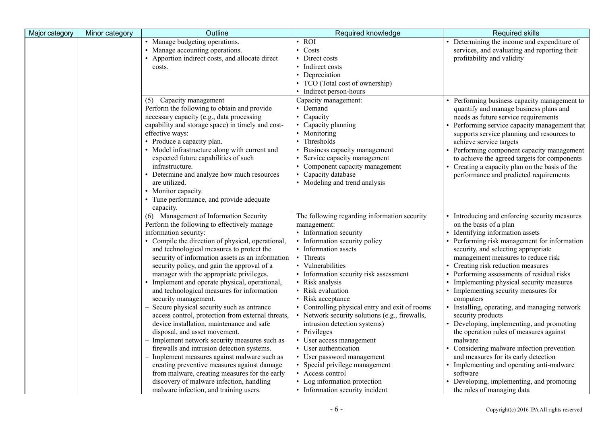| Major category | Minor category | Outline                                           | Required knowledge                             | <b>Required skills</b>                         |
|----------------|----------------|---------------------------------------------------|------------------------------------------------|------------------------------------------------|
|                |                | • Manage budgeting operations.                    | $\cdot$ ROI                                    | • Determining the income and expenditure of    |
|                |                | • Manage accounting operations.                   | • Costs                                        | services, and evaluating and reporting their   |
|                |                | • Apportion indirect costs, and allocate direct   | • Direct costs                                 | profitability and validity                     |
|                |                | costs.                                            | • Indirect costs                               |                                                |
|                |                |                                                   | • Depreciation                                 |                                                |
|                |                |                                                   | • TCO (Total cost of ownership)                |                                                |
|                |                |                                                   | • Indirect person-hours                        |                                                |
|                |                | (5) Capacity management                           | Capacity management:                           | • Performing business capacity management to   |
|                |                | Perform the following to obtain and provide       | • Demand                                       | quantify and manage business plans and         |
|                |                | necessary capacity (e.g., data processing         | • Capacity                                     | needs as future service requirements           |
|                |                | capability and storage space) in timely and cost- | • Capacity planning                            | • Performing service capacity management that  |
|                |                | effective ways:                                   | • Monitoring                                   | supports service planning and resources to     |
|                |                | • Produce a capacity plan.                        | • Thresholds                                   | achieve service targets                        |
|                |                | • Model infrastructure along with current and     | • Business capacity management                 | • Performing component capacity management     |
|                |                | expected future capabilities of such              | • Service capacity management                  | to achieve the agreed targets for components   |
|                |                | infrastructure.                                   | • Component capacity management                | • Creating a capacity plan on the basis of the |
|                |                | • Determine and analyze how much resources        | • Capacity database                            | performance and predicted requirements         |
|                |                | are utilized.                                     | • Modeling and trend analysis                  |                                                |
|                |                | • Monitor capacity.                               |                                                |                                                |
|                |                | • Tune performance, and provide adequate          |                                                |                                                |
|                |                | capacity.                                         |                                                |                                                |
|                |                | (6) Management of Information Security            | The following regarding information security   | • Introducing and enforcing security measures  |
|                |                | Perform the following to effectively manage       | management:                                    | on the basis of a plan                         |
|                |                | information security:                             | • Information security                         | • Identifying information assets               |
|                |                | • Compile the direction of physical, operational, | • Information security policy                  | • Performing risk management for information   |
|                |                | and technological measures to protect the         | • Information assets                           | security, and selecting appropriate            |
|                |                | security of information assets as an information  | • Threats                                      | management measures to reduce risk             |
|                |                | security policy, and gain the approval of a       | • Vulnerabilities                              | • Creating risk reduction measures             |
|                |                | manager with the appropriate privileges.          | • Information security risk assessment         | • Performing assessments of residual risks     |
|                |                | Implement and operate physical, operational,      | • Risk analysis                                | • Implementing physical security measures      |
|                |                | and technological measures for information        | • Risk evaluation                              | • Implementing security measures for           |
|                |                | security management.                              | • Risk acceptance                              | computers                                      |
|                |                | Secure physical security such as entrance         | • Controlling physical entry and exit of rooms | • Installing, operating, and managing network  |
|                |                | access control, protection from external threats, | • Network security solutions (e.g., firewalls, | security products                              |
|                |                | device installation, maintenance and safe         | intrusion detection systems)                   | • Developing, implementing, and promoting      |
|                |                | disposal, and asset movement.                     | • Privileges                                   | the operation rules of measures against        |
|                |                | Implement network security measures such as       | • User access management                       | malware                                        |
|                |                | firewalls and intrusion detection systems.        | • User authentication                          | • Considering malware infection prevention     |
|                |                | Implement measures against malware such as        | • User password management                     | and measures for its early detection           |
|                |                | creating preventive measures against damage       | • Special privilege management                 | • Implementing and operating anti-malware      |
|                |                | from malware, creating measures for the early     | • Access control                               | software                                       |
|                |                | discovery of malware infection, handling          | • Log information protection                   | • Developing, implementing, and promoting      |
|                |                | malware infection, and training users.            | • Information security incident                | the rules of managing data                     |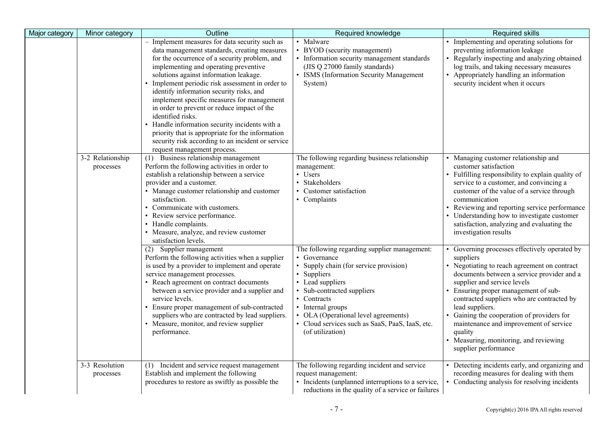| Major category | Minor category                | Outline                                                                                                                                                                                                                                                                                                                                                                                                                                                                                                                                                                                                                                    | Required knowledge                                                                                                                                                                                                                                                                                                         | <b>Required skills</b>                                                                                                                                                                                                                                                                                                                                                                                                                                        |
|----------------|-------------------------------|--------------------------------------------------------------------------------------------------------------------------------------------------------------------------------------------------------------------------------------------------------------------------------------------------------------------------------------------------------------------------------------------------------------------------------------------------------------------------------------------------------------------------------------------------------------------------------------------------------------------------------------------|----------------------------------------------------------------------------------------------------------------------------------------------------------------------------------------------------------------------------------------------------------------------------------------------------------------------------|---------------------------------------------------------------------------------------------------------------------------------------------------------------------------------------------------------------------------------------------------------------------------------------------------------------------------------------------------------------------------------------------------------------------------------------------------------------|
|                |                               | Implement measures for data security such as<br>data management standards, creating measures<br>for the occurrence of a security problem, and<br>implementing and operating preventive<br>solutions against information leakage.<br>• Implement periodic risk assessment in order to<br>identify information security risks, and<br>implement specific measures for management<br>in order to prevent or reduce impact of the<br>identified risks.<br>Handle information security incidents with a<br>priority that is appropriate for the information<br>security risk according to an incident or service<br>request management process. | • Malware<br>• BYOD (security management)<br>• Information security management standards<br>(JIS Q 27000 family standards)<br>• ISMS (Information Security Management<br>System)                                                                                                                                           | Implementing and operating solutions for<br>preventing information leakage<br>Regularly inspecting and analyzing obtained<br>log trails, and taking necessary measures<br>• Appropriately handling an information<br>security incident when it occurs                                                                                                                                                                                                         |
|                | 3-2 Relationship<br>processes | Business relationship management<br>(1)<br>Perform the following activities in order to<br>establish a relationship between a service<br>provider and a customer.<br>• Manage customer relationship and customer<br>satisfaction.<br>• Communicate with customers.<br>• Review service performance.<br>• Handle complaints.<br>• Measure, analyze, and review customer<br>satisfaction levels.                                                                                                                                                                                                                                             | The following regarding business relationship<br>management:<br>• Users<br>• Stakeholders<br>• Customer satisfaction<br>• Complaints                                                                                                                                                                                       | • Managing customer relationship and<br>customer satisfaction<br>Fulfilling responsibility to explain quality of<br>service to a customer, and convincing a<br>customer of the value of a service through<br>communication<br>Reviewing and reporting service performance<br>Understanding how to investigate customer<br>satisfaction, analyzing and evaluating the<br>investigation results                                                                 |
|                |                               | (2) Supplier management<br>Perform the following activities when a supplier<br>is used by a provider to implement and operate<br>service management processes.<br>• Reach agreement on contract documents<br>between a service provider and a supplier and<br>service levels.<br>• Ensure proper management of sub-contracted<br>suppliers who are contracted by lead suppliers.<br>• Measure, monitor, and review supplier<br>performance.                                                                                                                                                                                                | The following regarding supplier management:<br>• Governance<br>• Supply chain (for service provision)<br>• Suppliers<br>• Lead suppliers<br>· Sub-contracted suppliers<br>• Contracts<br>• Internal groups<br>• OLA (Operational level agreements)<br>· Cloud services such as SaaS, PaaS, IaaS, etc.<br>(of utilization) | Governing processes effectively operated by<br>suppliers<br>• Negotiating to reach agreement on contract<br>documents between a service provider and a<br>supplier and service levels<br>Ensuring proper management of sub-<br>contracted suppliers who are contracted by<br>lead suppliers.<br>Gaining the cooperation of providers for<br>maintenance and improvement of service<br>quality<br>Measuring, monitoring, and reviewing<br>supplier performance |
|                | 3-3 Resolution<br>processes   | (1) Incident and service request management<br>Establish and implement the following<br>procedures to restore as swiftly as possible the                                                                                                                                                                                                                                                                                                                                                                                                                                                                                                   | The following regarding incident and service<br>request management:<br>• Incidents (unplanned interruptions to a service,<br>reductions in the quality of a service or failures                                                                                                                                            | Detecting incidents early, and organizing and<br>recording measures for dealing with them<br>• Conducting analysis for resolving incidents                                                                                                                                                                                                                                                                                                                    |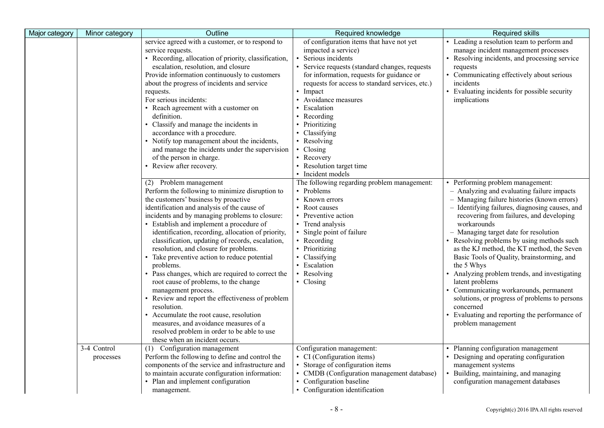| Major category | Minor category           | Outline                                                                                                                                                                                                                                                                                                                                                                                                                                                                                                                                                                                                                                                                                                                                                                                                                                   | Required knowledge                                                                                                                                                                                                                                                                                                                                                                                                                        | <b>Required skills</b>                                                                                                                                                                                                                                                                                                                                                                                                                                                                                                                                                                                                                                                                       |
|----------------|--------------------------|-------------------------------------------------------------------------------------------------------------------------------------------------------------------------------------------------------------------------------------------------------------------------------------------------------------------------------------------------------------------------------------------------------------------------------------------------------------------------------------------------------------------------------------------------------------------------------------------------------------------------------------------------------------------------------------------------------------------------------------------------------------------------------------------------------------------------------------------|-------------------------------------------------------------------------------------------------------------------------------------------------------------------------------------------------------------------------------------------------------------------------------------------------------------------------------------------------------------------------------------------------------------------------------------------|----------------------------------------------------------------------------------------------------------------------------------------------------------------------------------------------------------------------------------------------------------------------------------------------------------------------------------------------------------------------------------------------------------------------------------------------------------------------------------------------------------------------------------------------------------------------------------------------------------------------------------------------------------------------------------------------|
|                |                          | service agreed with a customer, or to respond to<br>service requests.<br>• Recording, allocation of priority, classification,<br>escalation, resolution, and closure<br>Provide information continuously to customers<br>about the progress of incidents and service<br>requests.<br>For serious incidents:<br>• Reach agreement with a customer on<br>definition.<br>• Classify and manage the incidents in<br>accordance with a procedure.<br>• Notify top management about the incidents,<br>and manage the incidents under the supervision<br>of the person in charge.<br>• Review after recovery.                                                                                                                                                                                                                                    | of configuration items that have not yet<br>impacted a service)<br>· Serious incidents<br>• Service requests (standard changes, requests<br>for information, requests for guidance or<br>requests for access to standard services, etc.)<br>• Impact<br>• Avoidance measures<br>• Escalation<br>• Recording<br>• Prioritizing<br>• Classifying<br>• Resolving<br>• Closing<br>• Recovery<br>• Resolution target time<br>• Incident models | • Leading a resolution team to perform and<br>manage incident management processes<br>• Resolving incidents, and processing service<br>requests<br>• Communicating effectively about serious<br>incidents<br>• Evaluating incidents for possible security<br>implications                                                                                                                                                                                                                                                                                                                                                                                                                    |
|                |                          | (2) Problem management<br>Perform the following to minimize disruption to<br>the customers' business by proactive<br>identification and analysis of the cause of<br>incidents and by managing problems to closure:<br>• Establish and implement a procedure of<br>identification, recording, allocation of priority,<br>classification, updating of records, escalation,<br>resolution, and closure for problems.<br>• Take preventive action to reduce potential<br>problems.<br>• Pass changes, which are required to correct the<br>root cause of problems, to the change<br>management process.<br>Review and report the effectiveness of problem<br>resolution.<br>• Accumulate the root cause, resolution<br>measures, and avoidance measures of a<br>resolved problem in order to be able to use<br>these when an incident occurs. | The following regarding problem management:<br>• Problems<br>• Known errors<br>• Root causes<br>• Preventive action<br>• Trend analysis<br>• Single point of failure<br>• Recording<br>• Prioritizing<br>• Classifying<br>• Escalation<br>• Resolving<br>• Closing                                                                                                                                                                        | • Performing problem management:<br>- Analyzing and evaluating failure impacts<br>- Managing failure histories (known errors)<br>- Identifying failures, diagnosing causes, and<br>recovering from failures, and developing<br>workarounds<br>- Managing target date for resolution<br>• Resolving problems by using methods such<br>as the KJ method, the KT method, the Seven<br>Basic Tools of Quality, brainstorming, and<br>the 5 Whys<br>Analyzing problem trends, and investigating<br>latent problems<br>• Communicating workarounds, permanent<br>solutions, or progress of problems to persons<br>concerned<br>• Evaluating and reporting the performance of<br>problem management |
|                | 3-4 Control<br>processes | Configuration management<br>(1)<br>Perform the following to define and control the<br>components of the service and infrastructure and<br>to maintain accurate configuration information:<br>• Plan and implement configuration<br>management.                                                                                                                                                                                                                                                                                                                                                                                                                                                                                                                                                                                            | Configuration management:<br>• CI (Configuration items)<br>• Storage of configuration items<br>• CMDB (Configuration management database)<br>• Configuration baseline<br>• Configuration identification                                                                                                                                                                                                                                   | • Planning configuration management<br>• Designing and operating configuration<br>management systems<br>Building, maintaining, and managing<br>configuration management databases                                                                                                                                                                                                                                                                                                                                                                                                                                                                                                            |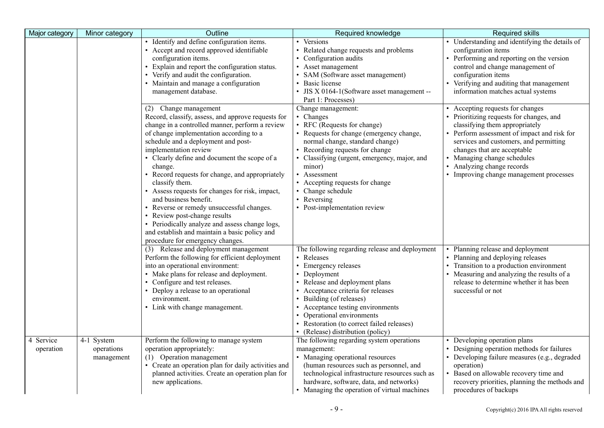| Major category                      | Minor category                         | Outline                                                                                                                                                                                                                                                                                                                                                                                                                                                                                                                                                                                                                                                                 | Required knowledge                                                                                                                                                                                                                                                                                                                                           | <b>Required skills</b>                                                                                                                                                                                                                                                                                                                                |
|-------------------------------------|----------------------------------------|-------------------------------------------------------------------------------------------------------------------------------------------------------------------------------------------------------------------------------------------------------------------------------------------------------------------------------------------------------------------------------------------------------------------------------------------------------------------------------------------------------------------------------------------------------------------------------------------------------------------------------------------------------------------------|--------------------------------------------------------------------------------------------------------------------------------------------------------------------------------------------------------------------------------------------------------------------------------------------------------------------------------------------------------------|-------------------------------------------------------------------------------------------------------------------------------------------------------------------------------------------------------------------------------------------------------------------------------------------------------------------------------------------------------|
|                                     |                                        | • Identify and define configuration items.<br>• Accept and record approved identifiable<br>configuration items.<br>Explain and report the configuration status.<br>• Verify and audit the configuration.<br>• Maintain and manage a configuration<br>management database.                                                                                                                                                                                                                                                                                                                                                                                               | • Versions<br>• Related change requests and problems<br>• Configuration audits<br>• Asset management<br>SAM (Software asset management)<br>· Basic license<br>JIS X 0164-1(Software asset management --<br>Part 1: Processes)                                                                                                                                | • Understanding and identifying the details of<br>configuration items<br>• Performing and reporting on the version<br>control and change management of<br>configuration items<br>• Verifying and auditing that management<br>information matches actual systems                                                                                       |
|                                     |                                        | (2) Change management<br>Record, classify, assess, and approve requests for<br>change in a controlled manner, perform a review<br>of change implementation according to a<br>schedule and a deployment and post-<br>implementation review<br>• Clearly define and document the scope of a<br>change.<br>Record requests for change, and appropriately<br>classify them.<br>• Assess requests for changes for risk, impact,<br>and business benefit.<br>• Reverse or remedy unsuccessful changes.<br>• Review post-change results<br>• Periodically analyze and assess change logs,<br>and establish and maintain a basic policy and<br>procedure for emergency changes. | Change management:<br>• Changes<br>• RFC (Requests for change)<br>• Requests for change (emergency change,<br>normal change, standard change)<br>Recording requests for change<br>• Classifying (urgent, emergency, major, and<br>minor)<br>Assessment<br>• Accepting requests for change<br>• Change schedule<br>Reversing<br>• Post-implementation review  | Accepting requests for changes<br>• Prioritizing requests for changes, and<br>classifying them appropriately<br>Perform assessment of impact and risk for<br>services and customers, and permitting<br>changes that are acceptable<br>• Managing change schedules<br>Analyzing change records<br>$\bullet$<br>• Improving change management processes |
|                                     |                                        | (3) Release and deployment management<br>Perform the following for efficient deployment<br>into an operational environment:<br>• Make plans for release and deployment.<br>• Configure and test releases.<br>• Deploy a release to an operational<br>environment.<br>• Link with change management.                                                                                                                                                                                                                                                                                                                                                                     | The following regarding release and deployment<br>• Releases<br>• Emergency releases<br>• Deployment<br>• Release and deployment plans<br>• Acceptance criteria for releases<br>• Building (of releases)<br>Acceptance testing environments<br>• Operational environments<br>• Restoration (to correct failed releases)<br>• (Release) distribution (policy) | Planning release and deployment<br>Planning and deploying releases<br>• Transition to a production environment<br>• Measuring and analyzing the results of a<br>release to determine whether it has been<br>successful or not                                                                                                                         |
| $\overline{4}$ Service<br>operation | 4-1 System<br>operations<br>management | Perform the following to manage system<br>operation appropriately:<br>(1) Operation management<br>• Create an operation plan for daily activities and<br>planned activities. Create an operation plan for<br>new applications.                                                                                                                                                                                                                                                                                                                                                                                                                                          | The following regarding system operations<br>management:<br>• Managing operational resources<br>(human resources such as personnel, and<br>technological infrastructure resources such as<br>hardware, software, data, and networks)<br>• Managing the operation of virtual machines                                                                         | Developing operation plans<br>• Designing operation methods for failures<br>• Developing failure measures (e.g., degraded<br>operation)<br>• Based on allowable recovery time and<br>recovery priorities, planning the methods and<br>procedures of backups                                                                                           |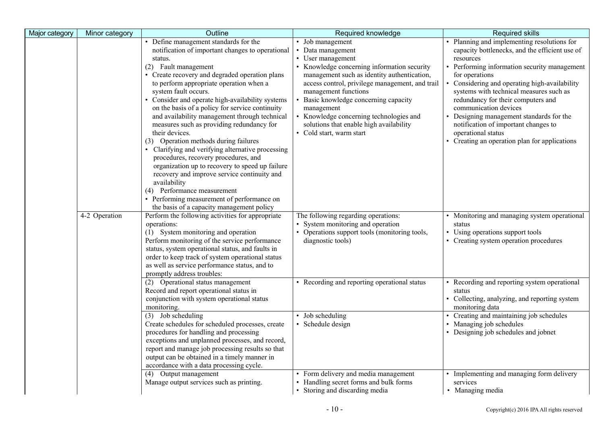| Major category | Minor category | Outline                                                                                 | Required knowledge                              | <b>Required skills</b>                         |
|----------------|----------------|-----------------------------------------------------------------------------------------|-------------------------------------------------|------------------------------------------------|
|                |                | • Define management standards for the                                                   | • Job management                                | Planning and implementing resolutions for      |
|                |                | notification of important changes to operational                                        | Data management                                 | capacity bottlenecks, and the efficient use of |
|                |                | status.                                                                                 | • User management                               | resources                                      |
|                |                | (2) Fault management                                                                    | Knowledge concerning information security       | Performing information security management     |
|                |                | • Create recovery and degraded operation plans                                          | management such as identity authentication,     | for operations                                 |
|                |                | to perform appropriate operation when a                                                 | access control, privilege management, and trail | Considering and operating high-availability    |
|                |                | system fault occurs.                                                                    | management functions                            | systems with technical measures such as        |
|                |                | • Consider and operate high-availability systems                                        | Basic knowledge concerning capacity             | redundancy for their computers and             |
|                |                | on the basis of a policy for service continuity                                         | management                                      | communication devices                          |
|                |                | and availability management through technical                                           | Knowledge concerning technologies and           | Designing management standards for the         |
|                |                | measures such as providing redundancy for                                               | solutions that enable high availability         | notification of important changes to           |
|                |                | their devices.                                                                          | • Cold start, warm start                        | operational status                             |
|                |                | (3) Operation methods during failures                                                   |                                                 | Creating an operation plan for applications    |
|                |                | • Clarifying and verifying alternative processing                                       |                                                 |                                                |
|                |                | procedures, recovery procedures, and                                                    |                                                 |                                                |
|                |                | organization up to recovery to speed up failure                                         |                                                 |                                                |
|                |                | recovery and improve service continuity and                                             |                                                 |                                                |
|                |                | availability                                                                            |                                                 |                                                |
|                |                | (4) Performance measurement                                                             |                                                 |                                                |
|                |                | • Performing measurement of performance on<br>the basis of a capacity management policy |                                                 |                                                |
|                | 4-2 Operation  | Perform the following activities for appropriate                                        | The following regarding operations:             | • Monitoring and managing system operational   |
|                |                | operations:                                                                             | System monitoring and operation                 | status                                         |
|                |                | (1) System monitoring and operation                                                     | • Operations support tools (monitoring tools,   | • Using operations support tools               |
|                |                | Perform monitoring of the service performance                                           | diagnostic tools)                               | • Creating system operation procedures         |
|                |                | status, system operational status, and faults in                                        |                                                 |                                                |
|                |                | order to keep track of system operational status                                        |                                                 |                                                |
|                |                | as well as service performance status, and to                                           |                                                 |                                                |
|                |                | promptly address troubles:                                                              |                                                 |                                                |
|                |                | (2) Operational status management                                                       | • Recording and reporting operational status    | Recording and reporting system operational     |
|                |                | Record and report operational status in                                                 |                                                 | status                                         |
|                |                | conjunction with system operational status                                              |                                                 | • Collecting, analyzing, and reporting system  |
|                |                | monitoring.                                                                             |                                                 | monitoring data                                |
|                |                | $(3)$ Job scheduling                                                                    | • Job scheduling                                | • Creating and maintaining job schedules       |
|                |                | Create schedules for scheduled processes, create                                        | · Schedule design                               | • Managing job schedules                       |
|                |                | procedures for handling and processing                                                  |                                                 | • Designing job schedules and jobnet           |
|                |                | exceptions and unplanned processes, and record,                                         |                                                 |                                                |
|                |                | report and manage job processing results so that                                        |                                                 |                                                |
|                |                | output can be obtained in a timely manner in                                            |                                                 |                                                |
|                |                | accordance with a data processing cycle.                                                |                                                 |                                                |
|                |                | (4) Output management                                                                   | • Form delivery and media management            | • Implementing and managing form delivery      |
|                |                | Manage output services such as printing.                                                | • Handling secret forms and bulk forms          | services                                       |
|                |                |                                                                                         | • Storing and discarding media                  | • Managing media                               |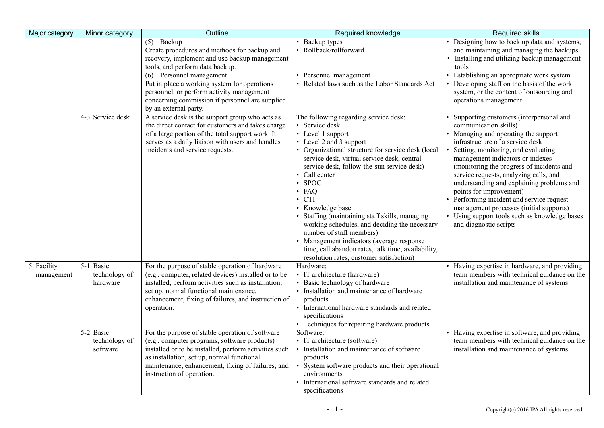| Major category           | Minor category                         | Outline                                                                                                                                                                                                                                                                                                                      | Required knowledge                                                                                                                                                                                                                                                                                                                                                                                                                                                                                                                                                                                                        | <b>Required skills</b>                                                                                                                                                                                                                                                                                                                                                                                                                                                                                                                                |
|--------------------------|----------------------------------------|------------------------------------------------------------------------------------------------------------------------------------------------------------------------------------------------------------------------------------------------------------------------------------------------------------------------------|---------------------------------------------------------------------------------------------------------------------------------------------------------------------------------------------------------------------------------------------------------------------------------------------------------------------------------------------------------------------------------------------------------------------------------------------------------------------------------------------------------------------------------------------------------------------------------------------------------------------------|-------------------------------------------------------------------------------------------------------------------------------------------------------------------------------------------------------------------------------------------------------------------------------------------------------------------------------------------------------------------------------------------------------------------------------------------------------------------------------------------------------------------------------------------------------|
|                          |                                        | $(5)$ Backup<br>Create procedures and methods for backup and<br>recovery, implement and use backup management<br>tools, and perform data backup.<br>(6) Personnel management<br>Put in place a working system for operations<br>personnel, or perform activity management<br>concerning commission if personnel are supplied | • Backup types<br>· Rollback/rollforward<br>• Personnel management<br>• Related laws such as the Labor Standards Act                                                                                                                                                                                                                                                                                                                                                                                                                                                                                                      | • Designing how to back up data and systems,<br>and maintaining and managing the backups<br>• Installing and utilizing backup management<br>tools<br>Establishing an appropriate work system<br>Developing staff on the basis of the work<br>system, or the content of outsourcing and<br>operations management                                                                                                                                                                                                                                       |
|                          | 4-3 Service desk                       | by an external party.<br>A service desk is the support group who acts as<br>the direct contact for customers and takes charge<br>of a large portion of the total support work. It<br>serves as a daily liaison with users and handles<br>incidents and service requests.                                                     | The following regarding service desk:<br>• Service desk<br>• Level 1 support<br>• Level 2 and 3 support<br>• Organizational structure for service desk (local<br>service desk, virtual service desk, central<br>service desk, follow-the-sun service desk)<br>Call center<br>$\cdot$ SPOC<br>$\cdot$ FAQ<br>$\cdot$ CTI<br>• Knowledge base<br>• Staffing (maintaining staff skills, managing<br>working schedules, and deciding the necessary<br>number of staff members)<br>• Management indicators (average response<br>time, call abandon rates, talk time, availability,<br>resolution rates, customer satisfaction) | Supporting customers (interpersonal and<br>communication skills)<br>• Managing and operating the support<br>infrastructure of a service desk<br>Setting, monitoring, and evaluating<br>management indicators or indexes<br>(monitoring the progress of incidents and<br>service requests, analyzing calls, and<br>understanding and explaining problems and<br>points for improvement)<br>Performing incident and service request<br>management processes (initial supports)<br>Using support tools such as knowledge bases<br>and diagnostic scripts |
| 5 Facility<br>management | 5-1 Basic<br>technology of<br>hardware | For the purpose of stable operation of hardware<br>(e.g., computer, related devices) installed or to be<br>installed, perform activities such as installation,<br>set up, normal functional maintenance,<br>enhancement, fixing of failures, and instruction of<br>operation.                                                | Hardware:<br>• IT architecture (hardware)<br>• Basic technology of hardware<br>• Installation and maintenance of hardware<br>products<br>• International hardware standards and related<br>specifications<br>• Techniques for repairing hardware products                                                                                                                                                                                                                                                                                                                                                                 | Having expertise in hardware, and providing<br>team members with technical guidance on the<br>installation and maintenance of systems                                                                                                                                                                                                                                                                                                                                                                                                                 |
|                          | 5-2 Basic<br>technology of<br>software | For the purpose of stable operation of software<br>(e.g., computer programs, software products)<br>installed or to be installed, perform activities such<br>as installation, set up, normal functional<br>maintenance, enhancement, fixing of failures, and<br>instruction of operation.                                     | Software:<br>• IT architecture (software)<br>• Installation and maintenance of software<br>products<br>System software products and their operational<br>environments<br>• International software standards and related<br>specifications                                                                                                                                                                                                                                                                                                                                                                                 | Having expertise in software, and providing<br>team members with technical guidance on the<br>installation and maintenance of systems                                                                                                                                                                                                                                                                                                                                                                                                                 |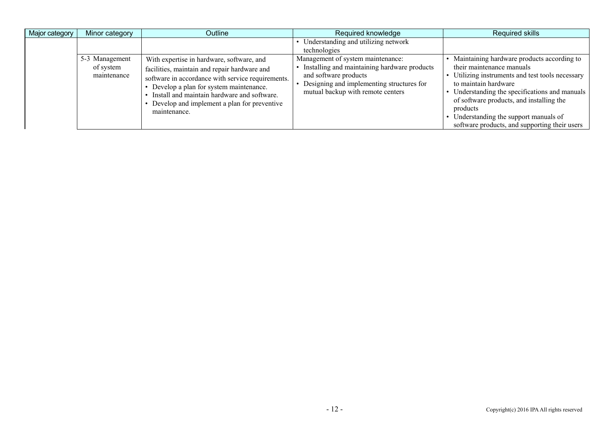| Major category | Minor category                             | Outline                                                                                                                                                                                                                                                                                                | Required knowledge                                                                                                                                                                                                                                    | Required skills                                                                                                                                                                                                                                           |
|----------------|--------------------------------------------|--------------------------------------------------------------------------------------------------------------------------------------------------------------------------------------------------------------------------------------------------------------------------------------------------------|-------------------------------------------------------------------------------------------------------------------------------------------------------------------------------------------------------------------------------------------------------|-----------------------------------------------------------------------------------------------------------------------------------------------------------------------------------------------------------------------------------------------------------|
|                | 5-3 Management<br>of system<br>maintenance | With expertise in hardware, software, and<br>facilities, maintain and repair hardware and<br>software in accordance with service requirements.<br>Develop a plan for system maintenance.<br>Install and maintain hardware and software.<br>Develop and implement a plan for preventive<br>maintenance. | • Understanding and utilizing network<br>technologies<br>Management of system maintenance:<br>Installing and maintaining hardware products<br>and software products<br>Designing and implementing structures for<br>mutual backup with remote centers | Maintaining hardware products according to<br>their maintenance manuals<br>Utilizing instruments and test tools necessary<br>to maintain hardware<br>Understanding the specifications and manuals<br>of software products, and installing the<br>products |
|                |                                            |                                                                                                                                                                                                                                                                                                        |                                                                                                                                                                                                                                                       | Understanding the support manuals of<br>software products, and supporting their users                                                                                                                                                                     |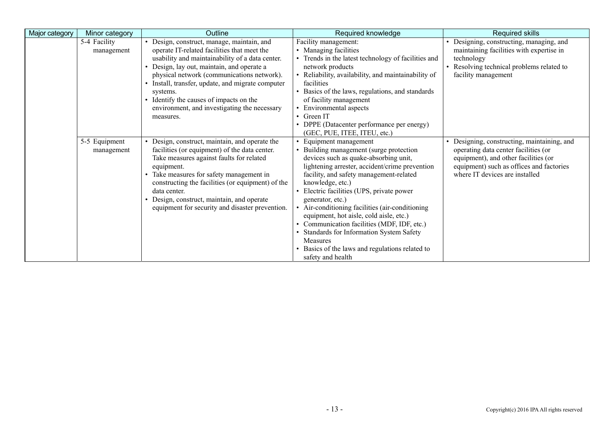| Major category | Minor category              | Outline                                                                                                                                                                                                                                                                                                                                                                                                           | Required knowledge                                                                                                                                                                                                                                                                                                                                                                                                                                                                                                                                                    | Required skills                                                                                                                                                                                           |
|----------------|-----------------------------|-------------------------------------------------------------------------------------------------------------------------------------------------------------------------------------------------------------------------------------------------------------------------------------------------------------------------------------------------------------------------------------------------------------------|-----------------------------------------------------------------------------------------------------------------------------------------------------------------------------------------------------------------------------------------------------------------------------------------------------------------------------------------------------------------------------------------------------------------------------------------------------------------------------------------------------------------------------------------------------------------------|-----------------------------------------------------------------------------------------------------------------------------------------------------------------------------------------------------------|
|                | 5-4 Facility<br>management  | · Design, construct, manage, maintain, and<br>operate IT-related facilities that meet the<br>usability and maintainability of a data center.<br>• Design, lay out, maintain, and operate a<br>physical network (communications network).<br>• Install, transfer, update, and migrate computer<br>systems.<br>• Identify the causes of impacts on the<br>environment, and investigating the necessary<br>measures. | Facility management:<br>• Managing facilities<br>Trends in the latest technology of facilities and<br>network products<br>Reliability, availability, and maintainability of<br>facilities<br>• Basics of the laws, regulations, and standards<br>of facility management<br>Environmental aspects<br>$\cdot$ Green IT<br>DPPE (Datacenter performance per energy)<br>(GEC, PUE, ITEE, ITEU, etc.)                                                                                                                                                                      | • Designing, constructing, managing, and<br>maintaining facilities with expertise in<br>technology<br>Resolving technical problems related to<br>facility management                                      |
|                | 5-5 Equipment<br>management | • Design, construct, maintain, and operate the<br>facilities (or equipment) of the data center.<br>Take measures against faults for related<br>equipment.<br>Take measures for safety management in<br>constructing the facilities (or equipment) of the<br>data center.<br>• Design, construct, maintain, and operate<br>equipment for security and disaster prevention.                                         | Equipment management<br>Building management (surge protection<br>devices such as quake-absorbing unit,<br>lightening arrester, accident/crime prevention<br>facility, and safety management-related<br>knowledge, etc.)<br>Electric facilities (UPS, private power<br>generator, etc.)<br>• Air-conditioning facilities (air-conditioning<br>equipment, hot aisle, cold aisle, etc.)<br>Communication facilities (MDF, IDF, etc.)<br>Standards for Information System Safety<br><b>Measures</b><br>Basics of the laws and regulations related to<br>safety and health | · Designing, constructing, maintaining, and<br>operating data center facilities (or<br>equipment), and other facilities (or<br>equipment) such as offices and factories<br>where IT devices are installed |